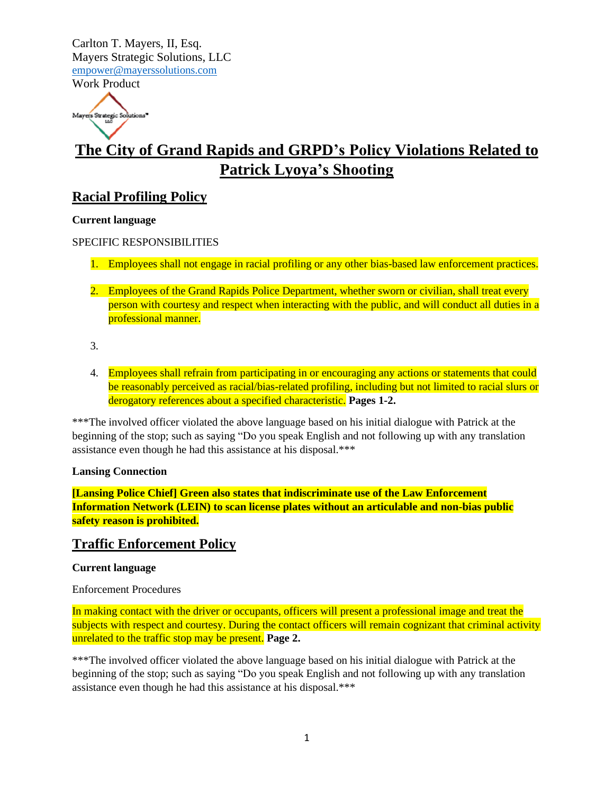Work Product

Mayers Strategic Solutions

# **The City of Grand Rapids and GRPD's Policy Violations Related to Patrick Lyoya's Shooting**

## **Racial Profiling Policy**

### **Current language**

### SPECIFIC RESPONSIBILITIES

- 1. Employees shall not engage in racial profiling or any other bias-based law enforcement practices.
- 2. Employees of the Grand Rapids Police Department, whether sworn or civilian, shall treat every person with courtesy and respect when interacting with the public, and will conduct all duties in a professional manner.
- 3.
- 4. Employees shall refrain from participating in or encouraging any actions or statements that could be reasonably perceived as racial/bias-related profiling, including but not limited to racial slurs or derogatory references about a specified characteristic. **Pages 1-2.**

\*\*\*The involved officer violated the above language based on his initial dialogue with Patrick at the beginning of the stop; such as saying "Do you speak English and not following up with any translation assistance even though he had this assistance at his disposal.\*\*\*

#### **Lansing Connection**

**[Lansing Police Chief] Green also states that indiscriminate use of the Law Enforcement Information Network (LEIN) to scan license plates without an articulable and non-bias public safety reason is prohibited.**

### **Traffic Enforcement Policy**

### **Current language**

Enforcement Procedures

In making contact with the driver or occupants, officers will present a professional image and treat the subjects with respect and courtesy. During the contact officers will remain cognizant that criminal activity unrelated to the traffic stop may be present. **Page 2.**

\*\*\*The involved officer violated the above language based on his initial dialogue with Patrick at the beginning of the stop; such as saying "Do you speak English and not following up with any translation assistance even though he had this assistance at his disposal.\*\*\*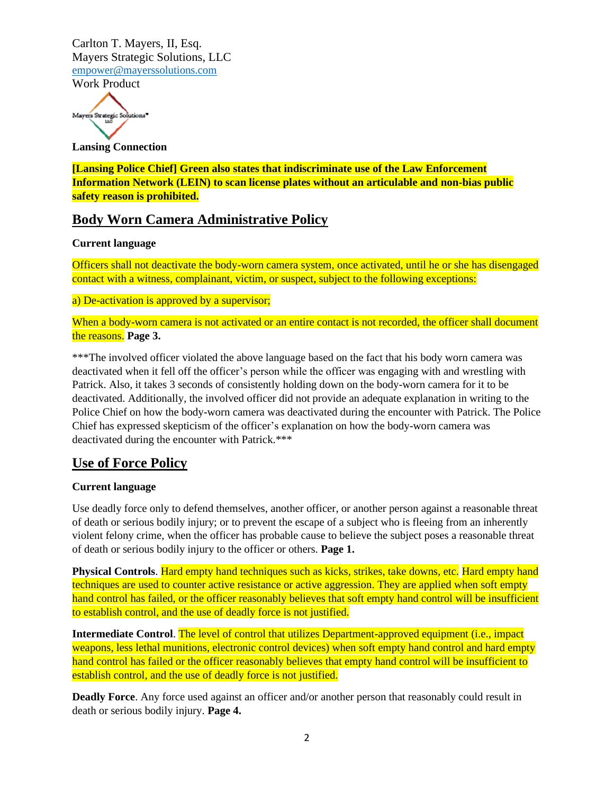Mayers Strategic Solutions

**Lansing Connection**

**[Lansing Police Chief] Green also states that indiscriminate use of the Law Enforcement Information Network (LEIN) to scan license plates without an articulable and non-bias public safety reason is prohibited.**

### **Body Worn Camera Administrative Policy**

#### **Current language**

Officers shall not deactivate the body-worn camera system, once activated, until he or she has disengaged contact with a witness, complainant, victim, or suspect, subject to the following exceptions:

a) De-activation is approved by a supervisor;

When a body-worn camera is not activated or an entire contact is not recorded, the officer shall document the reasons. **Page 3.**

\*\*\*The involved officer violated the above language based on the fact that his body worn camera was deactivated when it fell off the officer's person while the officer was engaging with and wrestling with Patrick. Also, it takes 3 seconds of consistently holding down on the body-worn camera for it to be deactivated. Additionally, the involved officer did not provide an adequate explanation in writing to the Police Chief on how the body-worn camera was deactivated during the encounter with Patrick. The Police Chief has expressed skepticism of the officer's explanation on how the body-worn camera was deactivated during the encounter with Patrick.\*\*\*

### **Use of Force Policy**

#### **Current language**

Use deadly force only to defend themselves, another officer, or another person against a reasonable threat of death or serious bodily injury; or to prevent the escape of a subject who is fleeing from an inherently violent felony crime, when the officer has probable cause to believe the subject poses a reasonable threat of death or serious bodily injury to the officer or others. **Page 1.**

**Physical Controls**. Hard empty hand techniques such as kicks, strikes, take downs, etc. Hard empty hand techniques are used to counter active resistance or active aggression. They are applied when soft empty hand control has failed, or the officer reasonably believes that soft empty hand control will be insufficient to establish control, and the use of deadly force is not justified.

**Intermediate Control**. The level of control that utilizes Department-approved equipment (i.e., impact weapons, less lethal munitions, electronic control devices) when soft empty hand control and hard empty hand control has failed or the officer reasonably believes that empty hand control will be insufficient to establish control, and the use of deadly force is not justified.

**Deadly Force**. Any force used against an officer and/or another person that reasonably could result in death or serious bodily injury. **Page 4.**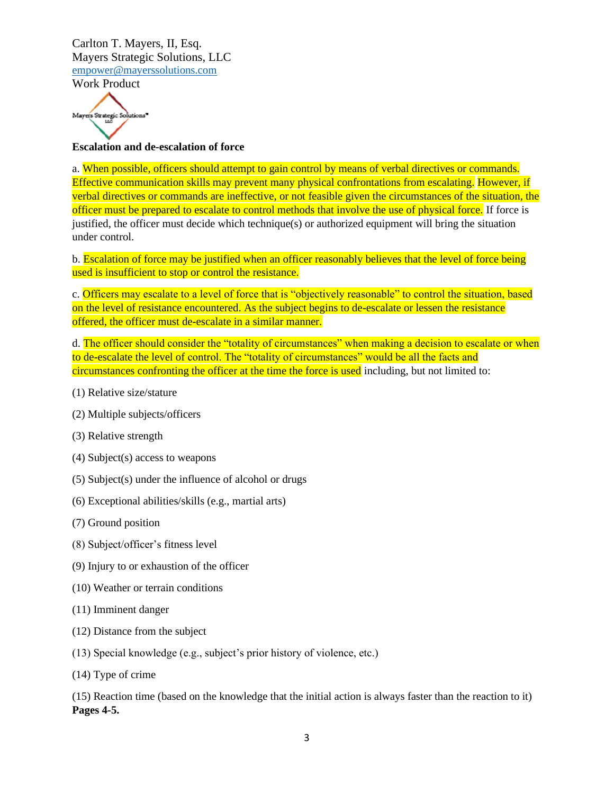Work Product



### **Escalation and de-escalation of force**

a. When possible, officers should attempt to gain control by means of verbal directives or commands. Effective communication skills may prevent many physical confrontations from escalating. However, if verbal directives or commands are ineffective, or not feasible given the circumstances of the situation, the officer must be prepared to escalate to control methods that involve the use of physical force. If force is justified, the officer must decide which technique(s) or authorized equipment will bring the situation under control.

b. Escalation of force may be justified when an officer reasonably believes that the level of force being used is insufficient to stop or control the resistance.

c. Officers may escalate to a level of force that is "objectively reasonable" to control the situation, based on the level of resistance encountered. As the subject begins to de-escalate or lessen the resistance offered, the officer must de-escalate in a similar manner.

d. The officer should consider the "totality of circumstances" when making a decision to escalate or when to de-escalate the level of control. The "totality of circumstances" would be all the facts and circumstances confronting the officer at the time the force is used including, but not limited to:

- (1) Relative size/stature
- (2) Multiple subjects/officers
- (3) Relative strength
- (4) Subject(s) access to weapons
- (5) Subject(s) under the influence of alcohol or drugs
- (6) Exceptional abilities/skills (e.g., martial arts)
- (7) Ground position
- (8) Subject/officer's fitness level
- (9) Injury to or exhaustion of the officer
- (10) Weather or terrain conditions
- (11) Imminent danger
- (12) Distance from the subject
- (13) Special knowledge (e.g., subject's prior history of violence, etc.)
- (14) Type of crime

(15) Reaction time (based on the knowledge that the initial action is always faster than the reaction to it) **Pages 4-5.**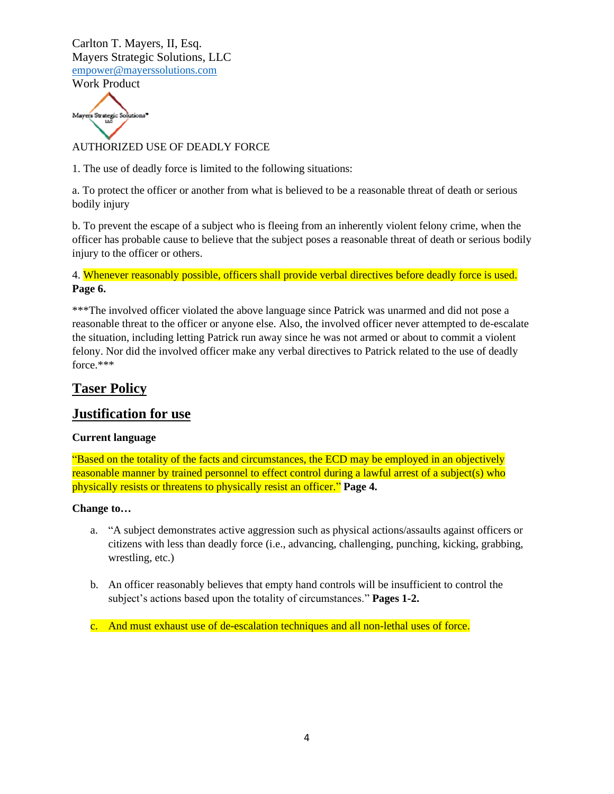

### AUTHORIZED USE OF DEADLY FORCE

1. The use of deadly force is limited to the following situations:

a. To protect the officer or another from what is believed to be a reasonable threat of death or serious bodily injury

b. To prevent the escape of a subject who is fleeing from an inherently violent felony crime, when the officer has probable cause to believe that the subject poses a reasonable threat of death or serious bodily injury to the officer or others.

4. Whenever reasonably possible, officers shall provide verbal directives before deadly force is used. **Page 6.**

\*\*\*The involved officer violated the above language since Patrick was unarmed and did not pose a reasonable threat to the officer or anyone else. Also, the involved officer never attempted to de-escalate the situation, including letting Patrick run away since he was not armed or about to commit a violent felony. Nor did the involved officer make any verbal directives to Patrick related to the use of deadly force.\*\*\*

### **Taser Policy**

### **Justification for use**

#### **Current language**

"Based on the totality of the facts and circumstances, the ECD may be employed in an objectively reasonable manner by trained personnel to effect control during a lawful arrest of a subject(s) who physically resists or threatens to physically resist an officer." **Page 4.**

#### **Change to…**

- a. "A subject demonstrates active aggression such as physical actions/assaults against officers or citizens with less than deadly force (i.e., advancing, challenging, punching, kicking, grabbing, wrestling, etc.)
- b. An officer reasonably believes that empty hand controls will be insufficient to control the subject's actions based upon the totality of circumstances." **Pages 1-2.**
- c. And must exhaust use of de-escalation techniques and all non-lethal uses of force.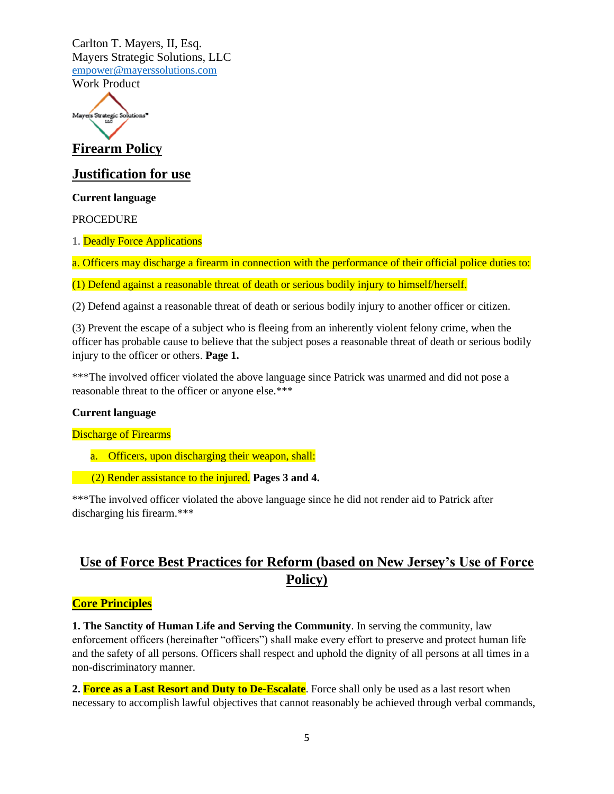Work Product



**Firearm Policy**

### **Justification for use**

**Current language**

PROCEDURE

1. Deadly Force Applications

a. Officers may discharge a firearm in connection with the performance of their official police duties to:

(1) Defend against a reasonable threat of death or serious bodily injury to himself/herself.

(2) Defend against a reasonable threat of death or serious bodily injury to another officer or citizen.

(3) Prevent the escape of a subject who is fleeing from an inherently violent felony crime, when the officer has probable cause to believe that the subject poses a reasonable threat of death or serious bodily injury to the officer or others. **Page 1.**

\*\*\*The involved officer violated the above language since Patrick was unarmed and did not pose a reasonable threat to the officer or anyone else.\*\*\*

#### **Current language**

Discharge of Firearms

- a. Officers, upon discharging their weapon, shall:
- (2) Render assistance to the injured. **Pages 3 and 4.**

\*\*\*The involved officer violated the above language since he did not render aid to Patrick after discharging his firearm.\*\*\*

# **Use of Force Best Practices for Reform (based on New Jersey's Use of Force Policy)**

### **Core Principles**

**1. The Sanctity of Human Life and Serving the Community**. In serving the community, law enforcement officers (hereinafter "officers") shall make every effort to preserve and protect human life and the safety of all persons. Officers shall respect and uphold the dignity of all persons at all times in a non-discriminatory manner.

**2. Force as a Last Resort and Duty to De-Escalate**. Force shall only be used as a last resort when necessary to accomplish lawful objectives that cannot reasonably be achieved through verbal commands,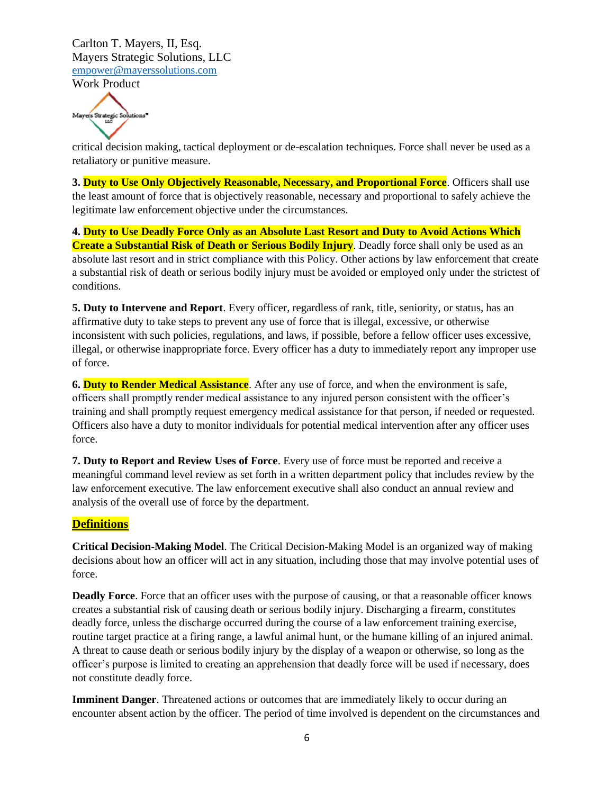Work Product

Mayers Strategic Solutions

critical decision making, tactical deployment or de-escalation techniques. Force shall never be used as a retaliatory or punitive measure.

**3. Duty to Use Only Objectively Reasonable, Necessary, and Proportional Force**. Officers shall use the least amount of force that is objectively reasonable, necessary and proportional to safely achieve the legitimate law enforcement objective under the circumstances.

**4. Duty to Use Deadly Force Only as an Absolute Last Resort and Duty to Avoid Actions Which Create a Substantial Risk of Death or Serious Bodily Injury**. Deadly force shall only be used as an absolute last resort and in strict compliance with this Policy. Other actions by law enforcement that create a substantial risk of death or serious bodily injury must be avoided or employed only under the strictest of conditions.

**5. Duty to Intervene and Report**. Every officer, regardless of rank, title, seniority, or status, has an affirmative duty to take steps to prevent any use of force that is illegal, excessive, or otherwise inconsistent with such policies, regulations, and laws, if possible, before a fellow officer uses excessive, illegal, or otherwise inappropriate force. Every officer has a duty to immediately report any improper use of force.

**6. Duty to Render Medical Assistance**. After any use of force, and when the environment is safe, officers shall promptly render medical assistance to any injured person consistent with the officer's training and shall promptly request emergency medical assistance for that person, if needed or requested. Officers also have a duty to monitor individuals for potential medical intervention after any officer uses force.

**7. Duty to Report and Review Uses of Force**. Every use of force must be reported and receive a meaningful command level review as set forth in a written department policy that includes review by the law enforcement executive. The law enforcement executive shall also conduct an annual review and analysis of the overall use of force by the department.

### **Definitions**

**Critical Decision-Making Model**. The Critical Decision-Making Model is an organized way of making decisions about how an officer will act in any situation, including those that may involve potential uses of force.

**Deadly Force**. Force that an officer uses with the purpose of causing, or that a reasonable officer knows creates a substantial risk of causing death or serious bodily injury. Discharging a firearm, constitutes deadly force, unless the discharge occurred during the course of a law enforcement training exercise, routine target practice at a firing range, a lawful animal hunt, or the humane killing of an injured animal. A threat to cause death or serious bodily injury by the display of a weapon or otherwise, so long as the officer's purpose is limited to creating an apprehension that deadly force will be used if necessary, does not constitute deadly force.

**Imminent Danger**. Threatened actions or outcomes that are immediately likely to occur during an encounter absent action by the officer. The period of time involved is dependent on the circumstances and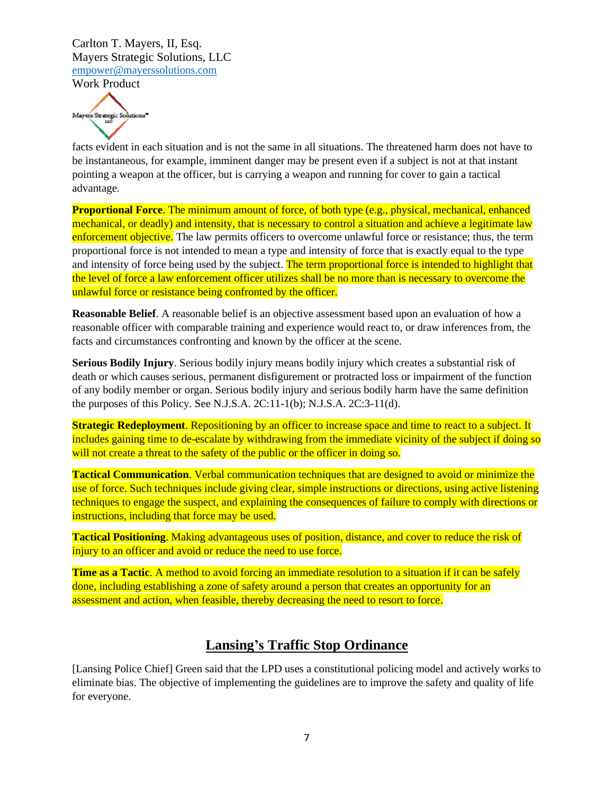

facts evident in each situation and is not the same in all situations. The threatened harm does not have to be instantaneous, for example, imminent danger may be present even if a subject is not at that instant pointing a weapon at the officer, but is carrying a weapon and running for cover to gain a tactical advantage.

**Proportional Force**. The minimum amount of force, of both type (e.g., physical, mechanical, enhanced mechanical, or deadly) and intensity, that is necessary to control a situation and achieve a legitimate law enforcement objective. The law permits officers to overcome unlawful force or resistance; thus, the term proportional force is not intended to mean a type and intensity of force that is exactly equal to the type and intensity of force being used by the subject. The term proportional force is intended to highlight that the level of force a law enforcement officer utilizes shall be no more than is necessary to overcome the unlawful force or resistance being confronted by the officer.

**Reasonable Belief**. A reasonable belief is an objective assessment based upon an evaluation of how a reasonable officer with comparable training and experience would react to, or draw inferences from, the facts and circumstances confronting and known by the officer at the scene.

**Serious Bodily Injury**. Serious bodily injury means bodily injury which creates a substantial risk of death or which causes serious, permanent disfigurement or protracted loss or impairment of the function of any bodily member or organ. Serious bodily injury and serious bodily harm have the same definition the purposes of this Policy. See N.J.S.A. 2C:11-1(b); N.J.S.A. 2C:3-11(d).

**Strategic Redeployment**. Repositioning by an officer to increase space and time to react to a subject. It includes gaining time to de-escalate by withdrawing from the immediate vicinity of the subject if doing so will not create a threat to the safety of the public or the officer in doing so.

**Tactical Communication**. Verbal communication techniques that are designed to avoid or minimize the use of force. Such techniques include giving clear, simple instructions or directions, using active listening techniques to engage the suspect, and explaining the consequences of failure to comply with directions or instructions, including that force may be used.

**Tactical Positioning**. Making advantageous uses of position, distance, and cover to reduce the risk of injury to an officer and avoid or reduce the need to use force.

**Time as a Tactic**. A method to avoid forcing an immediate resolution to a situation if it can be safely done, including establishing a zone of safety around a person that creates an opportunity for an assessment and action, when feasible, thereby decreasing the need to resort to force.

### **Lansing's Traffic Stop Ordinance**

[Lansing Police Chief] Green said that the LPD uses a constitutional policing model and actively works to eliminate bias. The objective of implementing the guidelines are to improve the safety and quality of life for everyone.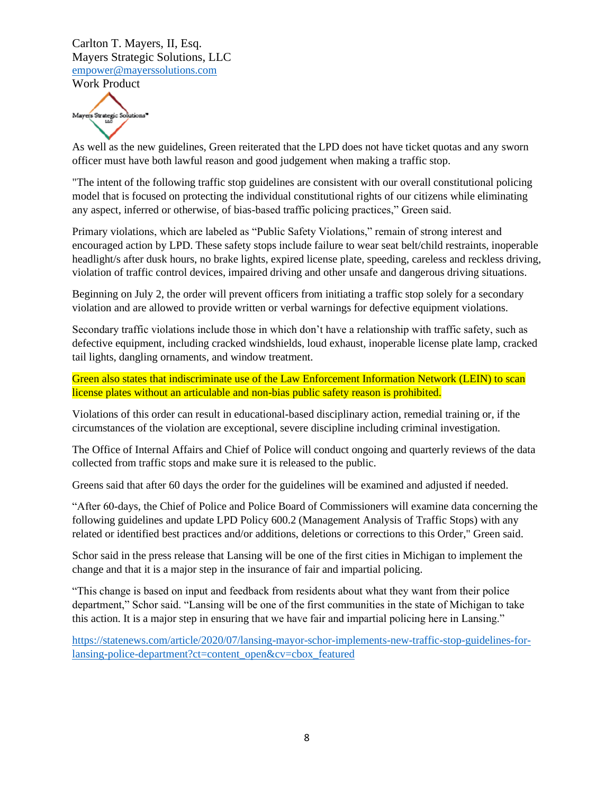

As well as the new guidelines, Green reiterated that the LPD does not have ticket quotas and any sworn officer must have both lawful reason and good judgement when making a traffic stop.

"The intent of the following traffic stop guidelines are consistent with our overall constitutional policing model that is focused on protecting the individual constitutional rights of our citizens while eliminating any aspect, inferred or otherwise, of bias-based traffic policing practices," Green said.

Primary violations, which are labeled as "Public Safety Violations," remain of strong interest and encouraged action by LPD. These safety stops include failure to wear seat belt/child restraints, inoperable headlight/s after dusk hours, no brake lights, expired license plate, speeding, careless and reckless driving, violation of traffic control devices, impaired driving and other unsafe and dangerous driving situations.

Beginning on July 2, the order will prevent officers from initiating a traffic stop solely for a secondary violation and are allowed to provide written or verbal warnings for defective equipment violations.

Secondary traffic violations include those in which don't have a relationship with traffic safety, such as defective equipment, including cracked windshields, loud exhaust, inoperable license plate lamp, cracked tail lights, dangling ornaments, and window treatment.

Green also states that indiscriminate use of the Law Enforcement Information Network (LEIN) to scan license plates without an articulable and non-bias public safety reason is prohibited.

Violations of this order can result in educational-based disciplinary action, remedial training or, if the circumstances of the violation are exceptional, severe discipline including criminal investigation.

The Office of Internal Affairs and Chief of Police will conduct ongoing and quarterly reviews of the data collected from traffic stops and make sure it is released to the public.

Greens said that after 60 days the order for the guidelines will be examined and adjusted if needed.

"After 60-days, the Chief of Police and Police Board of Commissioners will examine data concerning the following guidelines and update LPD Policy 600.2 (Management Analysis of Traffic Stops) with any related or identified best practices and/or additions, deletions or corrections to this Order," Green said.

Schor said in the press release that Lansing will be one of the first cities in Michigan to implement the change and that it is a major step in the insurance of fair and impartial policing.

"This change is based on input and feedback from residents about what they want from their police department," Schor said. "Lansing will be one of the first communities in the state of Michigan to take this action. It is a major step in ensuring that we have fair and impartial policing here in Lansing."

[https://statenews.com/article/2020/07/lansing-mayor-schor-implements-new-traffic-stop-guidelines-for](https://statenews.com/article/2020/07/lansing-mayor-schor-implements-new-traffic-stop-guidelines-for-lansing-police-department?ct=content_open&cv=cbox_featured)[lansing-police-department?ct=content\\_open&cv=cbox\\_featured](https://statenews.com/article/2020/07/lansing-mayor-schor-implements-new-traffic-stop-guidelines-for-lansing-police-department?ct=content_open&cv=cbox_featured)